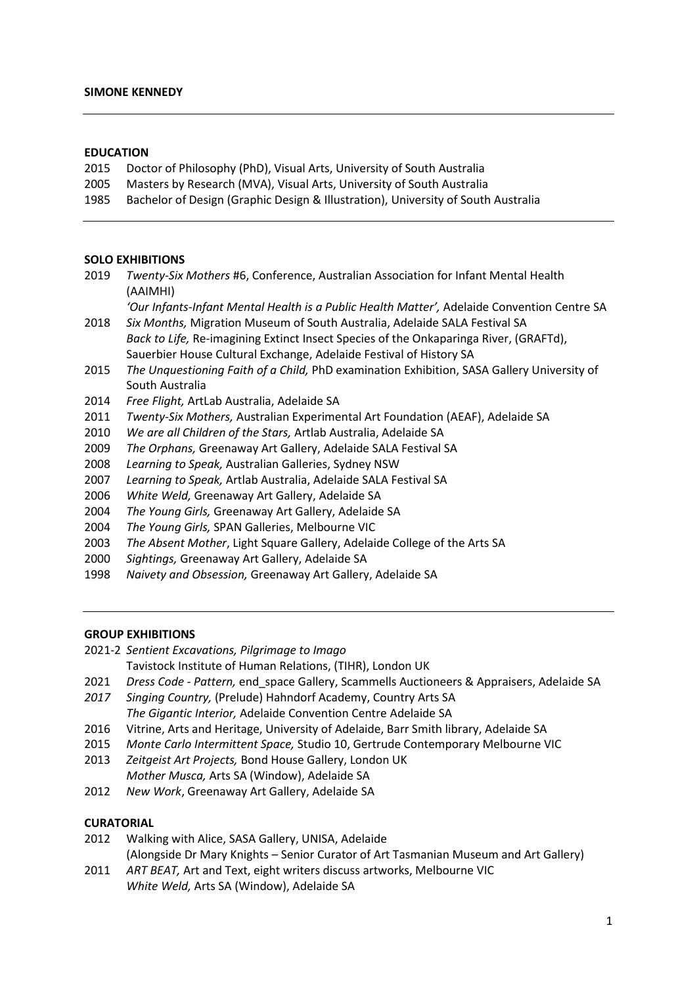### **EDUCATION**

- Doctor of Philosophy (PhD), Visual Arts, University of South Australia
- Masters by Research (MVA), Visual Arts, University of South Australia
- Bachelor of Design (Graphic Design & Illustration), University of South Australia

#### **SOLO EXHIBITIONS**

| 2019 | Twenty-Six Mothers #6, Conference, Australian Association for Infant Mental Health          |
|------|---------------------------------------------------------------------------------------------|
|      | (AAIMHI)                                                                                    |
|      | 'Our Infants-Infant Mental Health is a Public Health Matter', Adelaide Convention Centre SA |
| 2018 | Six Months, Migration Museum of South Australia, Adelaide SALA Festival SA                  |
|      | Back to Life, Re-imagining Extinct Insect Species of the Onkaparinga River, (GRAFTd),       |
|      | Sauerbier House Cultural Exchange, Adelaide Festival of History SA                          |
| 2015 | The Unguestioning Faith of a Child, PhD examination Exhibition, SASA Gallery University of  |
|      | South Australia                                                                             |
| 2014 | Free Flight, ArtLab Australia, Adelaide SA                                                  |
|      |                                                                                             |

- *Twenty-Six Mothers,* Australian Experimental Art Foundation (AEAF), Adelaide SA
- *We are all Children of the Stars,* Artlab Australia, Adelaide SA
- *The Orphans,* Greenaway Art Gallery, Adelaide SALA Festival SA
- *Learning to Speak,* Australian Galleries, Sydney NSW
- *Learning to Speak,* Artlab Australia, Adelaide SALA Festival SA
- *White Weld,* Greenaway Art Gallery, Adelaide SA
- *The Young Girls,* Greenaway Art Gallery, Adelaide SA
- *The Young Girls,* SPAN Galleries, Melbourne VIC
- *The Absent Mother*, Light Square Gallery, Adelaide College of the Arts SA
- *Sightings,* Greenaway Art Gallery, Adelaide SA
- *Naivety and Obsession,* Greenaway Art Gallery, Adelaide SA

# **GROUP EXHIBITIONS**

- 2021-2 *Sentient Excavations, Pilgrimage to Imago*
	- Tavistock Institute of Human Relations, (TIHR), London UK
- *Dress Code - Pattern,* end\_space Gallery, Scammells Auctioneers & Appraisers, Adelaide SA
- *Singing Country,* (Prelude) Hahndorf Academy, Country Arts SA *The Gigantic Interior,* Adelaide Convention Centre Adelaide SA
- Vitrine, Arts and Heritage, University of Adelaide, Barr Smith library, Adelaide SA
- *Monte Carlo Intermittent Space,* Studio 10, Gertrude Contemporary Melbourne VIC
- *Zeitgeist Art Projects,* Bond House Gallery, London UK *Mother Musca,* Arts SA (Window), Adelaide SA
- *New Work*, Greenaway Art Gallery, Adelaide SA

### **CURATORIAL**

- Walking with Alice, SASA Gallery, UNISA, Adelaide
- (Alongside Dr Mary Knights Senior Curator of Art Tasmanian Museum and Art Gallery)
- *ART BEAT,* Art and Text, eight writers discuss artworks, Melbourne VIC *White Weld,* Arts SA (Window), Adelaide SA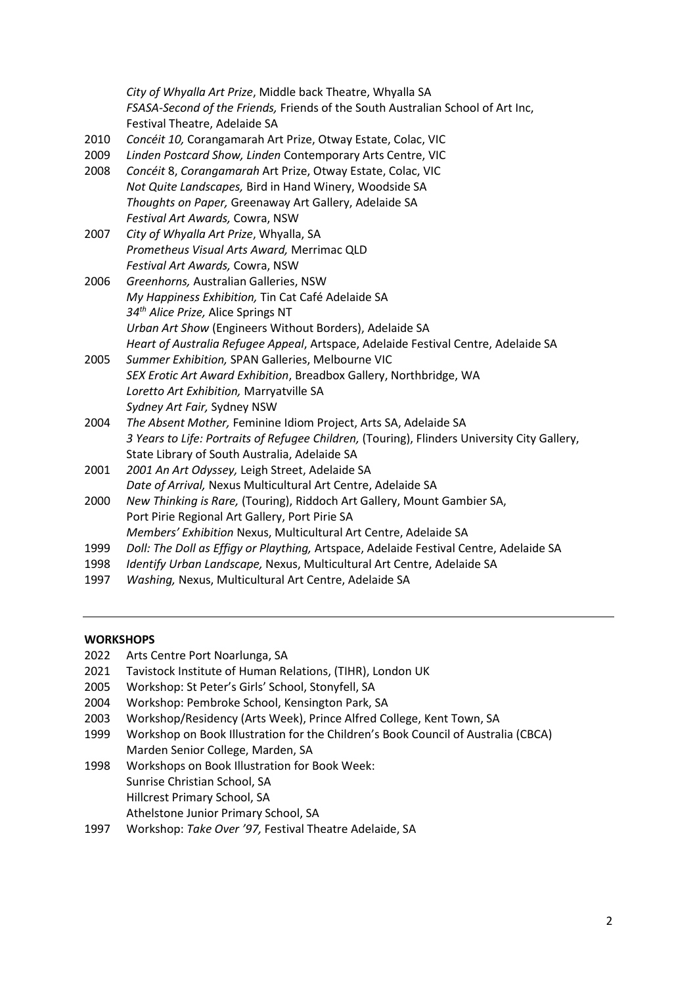|      | City of Whyalla Art Prize, Middle back Theatre, Whyalla SA                                   |
|------|----------------------------------------------------------------------------------------------|
|      | FSASA-Second of the Friends, Friends of the South Australian School of Art Inc,              |
|      | Festival Theatre, Adelaide SA                                                                |
| 2010 | Concéit 10, Corangamarah Art Prize, Otway Estate, Colac, VIC                                 |
| 2009 | Linden Postcard Show, Linden Contemporary Arts Centre, VIC                                   |
| 2008 | Concéit 8, Corangamarah Art Prize, Otway Estate, Colac, VIC                                  |
|      | Not Quite Landscapes, Bird in Hand Winery, Woodside SA                                       |
|      | Thoughts on Paper, Greenaway Art Gallery, Adelaide SA                                        |
|      | Festival Art Awards, Cowra, NSW                                                              |
| 2007 | City of Whyalla Art Prize, Whyalla, SA                                                       |
|      | Prometheus Visual Arts Award, Merrimac QLD                                                   |
|      | Festival Art Awards, Cowra, NSW                                                              |
| 2006 | Greenhorns, Australian Galleries, NSW                                                        |
|      | My Happiness Exhibition, Tin Cat Café Adelaide SA                                            |
|      | 34th Alice Prize, Alice Springs NT                                                           |
|      | Urban Art Show (Engineers Without Borders), Adelaide SA                                      |
|      | Heart of Australia Refugee Appeal, Artspace, Adelaide Festival Centre, Adelaide SA           |
| 2005 | Summer Exhibition, SPAN Galleries, Melbourne VIC                                             |
|      | SEX Erotic Art Award Exhibition, Breadbox Gallery, Northbridge, WA                           |
|      | Loretto Art Exhibition, Marryatville SA                                                      |
|      | Sydney Art Fair, Sydney NSW                                                                  |
| 2004 | The Absent Mother, Feminine Idiom Project, Arts SA, Adelaide SA                              |
|      | 3 Years to Life: Portraits of Refugee Children, (Touring), Flinders University City Gallery, |
|      | State Library of South Australia, Adelaide SA                                                |
| 2001 | 2001 An Art Odyssey, Leigh Street, Adelaide SA                                               |
|      | Date of Arrival, Nexus Multicultural Art Centre, Adelaide SA                                 |
| 2000 | New Thinking is Rare, (Touring), Riddoch Art Gallery, Mount Gambier SA,                      |
|      | Port Pirie Regional Art Gallery, Port Pirie SA                                               |
|      | Members' Exhibition Nexus, Multicultural Art Centre, Adelaide SA                             |
| 1999 | Doll: The Doll as Effigy or Plaything, Artspace, Adelaide Festival Centre, Adelaide SA       |
| 1998 | Identify Urban Landscape, Nexus, Multicultural Art Centre, Adelaide SA                       |

1997 *Washing,* Nexus, Multicultural Art Centre, Adelaide SA

# **WORKSHOPS**

- 2022 Arts Centre Port Noarlunga, SA
- 2021 Tavistock Institute of Human Relations, (TIHR), London UK
- 2005 Workshop: St Peter's Girls' School, Stonyfell, SA
- 2004 Workshop: Pembroke School, Kensington Park, SA
- 2003 Workshop/Residency (Arts Week), Prince Alfred College, Kent Town, SA
- 1999 Workshop on Book Illustration for the Children's Book Council of Australia (CBCA) Marden Senior College, Marden, SA
- 1998 Workshops on Book Illustration for Book Week: Sunrise Christian School, SA Hillcrest Primary School, SA Athelstone Junior Primary School, SA
- 1997 Workshop: *Take Over '97,* Festival Theatre Adelaide, SA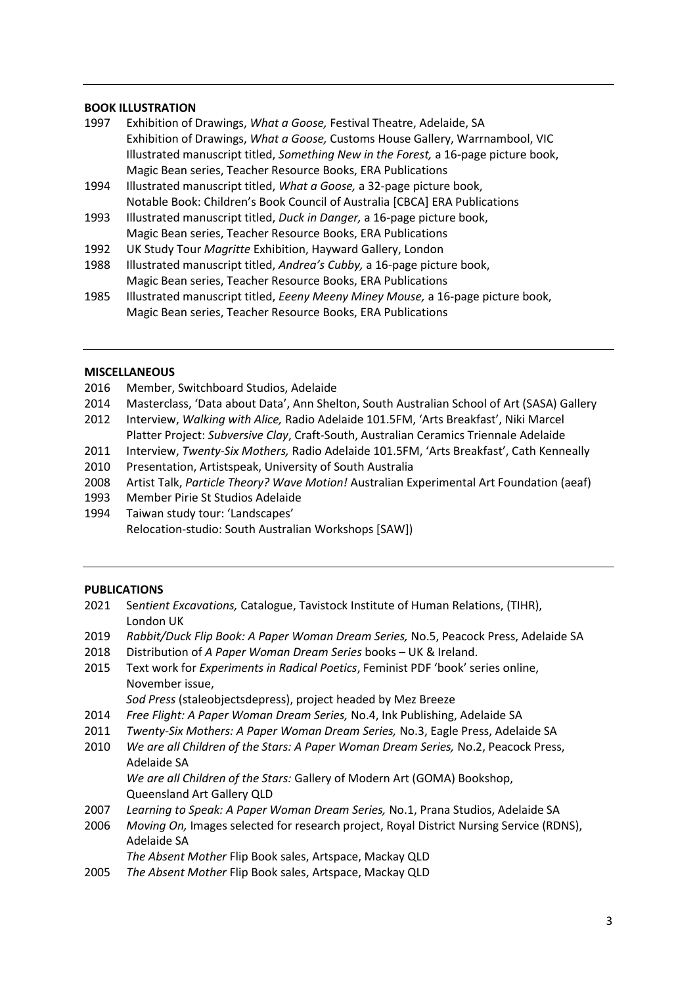## **BOOK ILLUSTRATION**

- 1997 Exhibition of Drawings, *What a Goose,* Festival Theatre, Adelaide, SA Exhibition of Drawings, *What a Goose,* Customs House Gallery, Warrnambool, VIC Illustrated manuscript titled, *Something New in the Forest,* a 16-page picture book, Magic Bean series, Teacher Resource Books, ERA Publications
- 1994 Illustrated manuscript titled, *What a Goose,* a 32-page picture book, Notable Book: Children's Book Council of Australia [CBCA] ERA Publications
- 1993 Illustrated manuscript titled, *Duck in Danger,* a 16-page picture book, Magic Bean series, Teacher Resource Books, ERA Publications
- 1992 UK Study Tour *Magritte* Exhibition, Hayward Gallery, London
- 1988 Illustrated manuscript titled, *Andrea's Cubby,* a 16-page picture book, Magic Bean series, Teacher Resource Books, ERA Publications
- 1985 Illustrated manuscript titled, *Eeeny Meeny Miney Mouse,* a 16-page picture book, Magic Bean series, Teacher Resource Books, ERA Publications

### **MISCELLANEOUS**

- 2016 Member, Switchboard Studios, Adelaide
- 2014 Masterclass, 'Data about Data', Ann Shelton, South Australian School of Art (SASA) Gallery
- 2012 Interview, *Walking with Alice,* Radio Adelaide 101.5FM, 'Arts Breakfast', Niki Marcel Platter Project: *Subversive Clay*, Craft-South, Australian Ceramics Triennale Adelaide
- 2011 Interview, *Twenty-Six Mothers,* Radio Adelaide 101.5FM, 'Arts Breakfast', Cath Kenneally
- 2010 Presentation, Artistspeak, University of South Australia
- 2008 Artist Talk, *Particle Theory? Wave Motion!* Australian Experimental Art Foundation (aeaf)
- 1993 Member Pirie St Studios Adelaide
- 1994 Taiwan study tour: 'Landscapes' Relocation-studio: South Australian Workshops [SAW])

### **PUBLICATIONS**

- 2021 Se*ntient Excavations,* Catalogue, Tavistock Institute of Human Relations, (TIHR), London UK
- 2019 *Rabbit/Duck Flip Book: A Paper Woman Dream Series,* No.5, Peacock Press, Adelaide SA
- 2018 Distribution of *A Paper Woman Dream Series* books UK & Ireland.
- 2015 Text work for *Experiments in Radical Poetics*, Feminist PDF 'book' series online, November issue,

*Sod Press* (staleobjectsdepress), project headed by Mez Breeze

- 2014 *Free Flight: A Paper Woman Dream Series,* No.4, Ink Publishing, Adelaide SA
- 2011 *Twenty-Six Mothers: A Paper Woman Dream Series,* No.3, Eagle Press, Adelaide SA
- 2010 *We are all Children of the Stars: A Paper Woman Dream Series,* No.2, Peacock Press, Adelaide SA *We are all Children of the Stars:* Gallery of Modern Art (GOMA) Bookshop,
	- Queensland Art Gallery QLD
- 2007 *Learning to Speak: A Paper Woman Dream Series,* No.1, Prana Studios, Adelaide SA
- 2006 *Moving On,* Images selected for research project, Royal District Nursing Service (RDNS), Adelaide SA
	- *The Absent Mother* Flip Book sales, Artspace, Mackay QLD
- 2005 *The Absent Mother* Flip Book sales, Artspace, Mackay QLD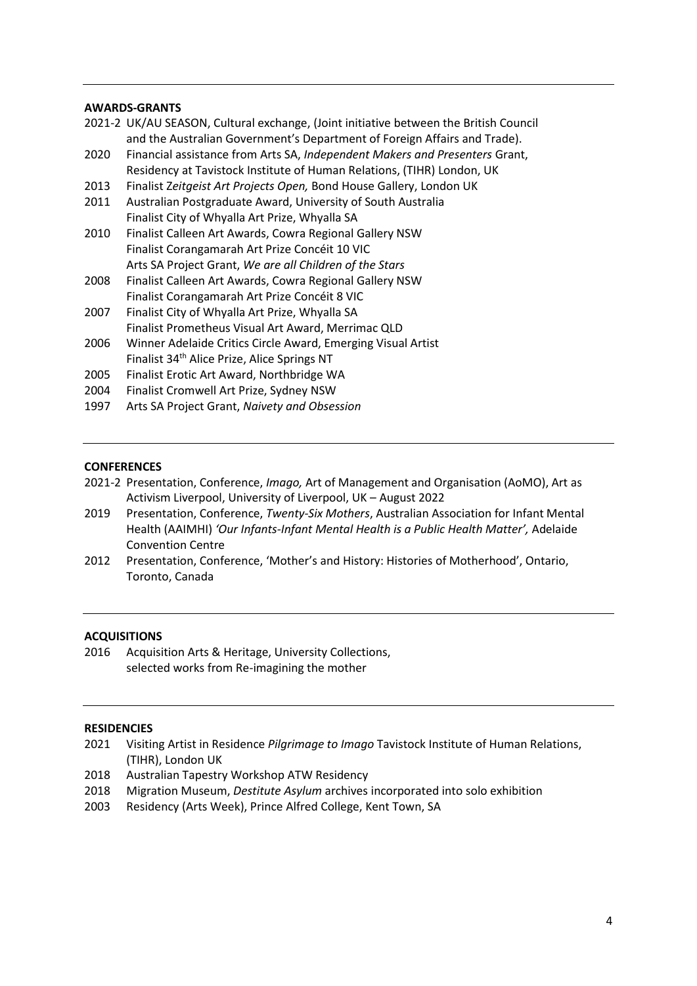### **AWARDS-GRANTS**

|      | 2021-2 UK/AU SEASON, Cultural exchange, (Joint initiative between the British Council |
|------|---------------------------------------------------------------------------------------|
|      | and the Australian Government's Department of Foreign Affairs and Trade).             |
| 2020 | Financial assistance from Arts SA, Independent Makers and Presenters Grant,           |
|      | Residency at Tavistock Institute of Human Relations, (TIHR) London, UK                |
| 2013 | Finalist Zeitgeist Art Projects Open, Bond House Gallery, London UK                   |
| 2011 | Australian Postgraduate Award, University of South Australia                          |
|      | Finalist City of Whyalla Art Prize, Whyalla SA                                        |
| 2010 | Finalist Calleen Art Awards, Cowra Regional Gallery NSW                               |
|      | Finalist Corangamarah Art Prize Concéit 10 VIC                                        |
|      | Arts SA Project Grant, We are all Children of the Stars                               |
| 2008 | Finalist Calleen Art Awards, Cowra Regional Gallery NSW                               |
|      | Finalist Corangamarah Art Prize Concéit 8 VIC                                         |
| 2007 | Finalist City of Whyalla Art Prize, Whyalla SA                                        |
|      | Finalist Prometheus Visual Art Award, Merrimac QLD                                    |
| 2006 | Winner Adelaide Critics Circle Award, Emerging Visual Artist                          |
|      | Finalist 34 <sup>th</sup> Alice Prize, Alice Springs NT                               |
| 2005 | Finalist Erotic Art Award, Northbridge WA                                             |
| 2004 | Finalist Cromwell Art Prize, Sydney NSW                                               |
| 1997 | Arts SA Project Grant, Naivety and Obsession                                          |
|      |                                                                                       |

### **CONFERENCES**

- 2021-2 Presentation, Conference, *Imago,* Art of Management and Organisation (AoMO), Art as Activism Liverpool, University of Liverpool, UK – August 2022
- 2019 Presentation, Conference, *Twenty-Six Mothers*, Australian Association for Infant Mental Health (AAIMHI) *'Our Infants-Infant Mental Health is a Public Health Matter',* Adelaide Convention Centre
- 2012 Presentation, Conference, 'Mother's and History: Histories of Motherhood', Ontario, Toronto, Canada

### **ACQUISITIONS**

2016 Acquisition Arts & Heritage, University Collections, selected works from Re-imagining the mother

### **RESIDENCIES**

- 2021 Visiting Artist in Residence *Pilgrimage to Imago* Tavistock Institute of Human Relations, (TIHR), London UK
- 2018 Australian Tapestry Workshop ATW Residency
- 2018 Migration Museum, *Destitute Asylum* archives incorporated into solo exhibition
- 2003 Residency (Arts Week), Prince Alfred College, Kent Town, SA